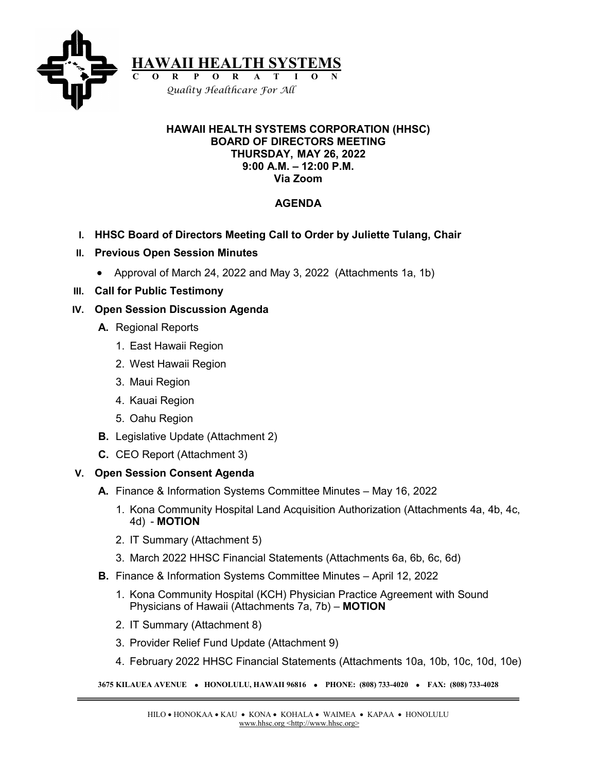

#### **HAWAII HEALTH SYSTEMS CORPORATION (HHSC) BOARD OF DIRECTORS MEETING THURSDAY, MAY 26, 2022 9:00 A.M. – 12:00 P.M. Via Zoom**

# **AGENDA**

- **I. HHSC Board of Directors Meeting Call to Order by Juliette Tulang, Chair**
- **II. Previous Open Session Minutes**
	- Approval of March 24, 2022 and May 3, 2022 (Attachments 1a, 1b)
- **III. Call for Public Testimony**

#### **IV. Open Session Discussion Agenda**

- **A.** Regional Reports
	- 1. East Hawaii Region
	- 2. West Hawaii Region
	- 3. Maui Region
	- 4. Kauai Region
	- 5. Oahu Region
- **B.** Legislative Update (Attachment 2)
- **C.** CEO Report (Attachment 3)

## **V. Open Session Consent Agenda**

- **A.** Finance & Information Systems Committee Minutes May 16, 2022
	- 1. Kona Community Hospital Land Acquisition Authorization (Attachments 4a, 4b, 4c, 4d) - **MOTION**
	- 2. IT Summary (Attachment 5)
	- 3. March 2022 HHSC Financial Statements (Attachments 6a, 6b, 6c, 6d)
- **B.** Finance & Information Systems Committee Minutes April 12, 2022
	- 1. Kona Community Hospital (KCH) Physician Practice Agreement with Sound Physicians of Hawaii (Attachments 7a, 7b) – **MOTION**
	- 2. IT Summary (Attachment 8)
	- 3. Provider Relief Fund Update (Attachment 9)
	- 4. February 2022 HHSC Financial Statements (Attachments 10a, 10b, 10c, 10d, 10e)

**3675 KILAUEA AVENUE** • **HONOLULU, HAWAII 96816** • **PHONE: (808) 733-4020** • **FAX: (808) 733-4028**